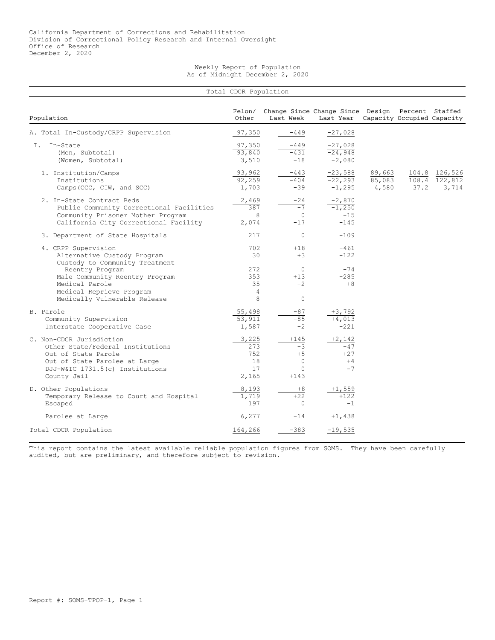## Weekly Report of Population As of Midnight December 2, 2020

| Total CDCR Population                                                                                                                                                  |                                          |                                                             |                                                                                          |                           |      |                                         |  |  |
|------------------------------------------------------------------------------------------------------------------------------------------------------------------------|------------------------------------------|-------------------------------------------------------------|------------------------------------------------------------------------------------------|---------------------------|------|-----------------------------------------|--|--|
| Population                                                                                                                                                             | Felon/<br>Other                          | Last Week                                                   | Change Since Change Since Design Percent Staffed<br>Last Year Capacity Occupied Capacity |                           |      |                                         |  |  |
| A. Total In-Custody/CRPP Supervision                                                                                                                                   | 97,350                                   | $-449$                                                      | $-27,028$                                                                                |                           |      |                                         |  |  |
| In-State<br>I.<br>(Men, Subtotal)<br>(Women, Subtotal)                                                                                                                 | 97,350<br>93,840<br>3,510                | -449<br>$-431$<br>$-18$                                     | $-27,028$<br>$-24,948$<br>$-2,080$                                                       |                           |      |                                         |  |  |
| 1. Institution/Camps<br>Institutions<br>Camps (CCC, CIW, and SCC)                                                                                                      | 93,962<br>92,259<br>1,703                | $-443$<br>$-404$<br>$-39$                                   | $-23,588$<br>$-22, 293$<br>$-1,295$                                                      | 89,663<br>85,083<br>4,580 | 37.2 | 104.8 126,526<br>108.4 122,812<br>3,714 |  |  |
| 2. In-State Contract Beds<br>Public Community Correctional Facilities<br>Community Prisoner Mother Program<br>California City Correctional Facility                    | 2,469<br>387<br>8<br>2,074               | $-24$<br>$-7$<br>$\circ$<br>$-17$                           | $-2,870$<br>$-1,250$<br>$-15$<br>$-145$                                                  |                           |      |                                         |  |  |
| 3. Department of State Hospitals                                                                                                                                       | 217                                      | $\Omega$                                                    | $-109$                                                                                   |                           |      |                                         |  |  |
| 4. CRPP Supervision<br>Alternative Custody Program<br>Custody to Community Treatment                                                                                   | 702<br>30                                | $+18$<br>$+3$                                               | $-461$<br>$-122$                                                                         |                           |      |                                         |  |  |
| Reentry Program<br>Male Community Reentry Program<br>Medical Parole<br>Medical Reprieve Program<br>Medically Vulnerable Release                                        | 272<br>353<br>35<br>4<br>8               | $\circ$<br>$+13$<br>$-2$<br>$\Omega$                        | $-74$<br>$-285$<br>$+8$                                                                  |                           |      |                                         |  |  |
| B. Parole<br>Community Supervision<br>Interstate Cooperative Case                                                                                                      | 55,498<br>53,911<br>1,587                | $-87$<br>$-85$<br>$-2$                                      | $+3,792$<br>$+4,013$<br>$-221$                                                           |                           |      |                                         |  |  |
| C. Non-CDCR Jurisdiction<br>Other State/Federal Institutions<br>Out of State Parole<br>Out of State Parolee at Large<br>DJJ-W&IC 1731.5(c) Institutions<br>County Jail | 3,225<br>273<br>752<br>18<br>17<br>2,165 | $+145$<br>$-3$<br>$+5$<br>$\mathbf{0}$<br>$\circ$<br>$+143$ | $+2,142$<br>$-47$<br>$+27$<br>$+4$<br>$-7$                                               |                           |      |                                         |  |  |
| D. Other Populations<br>Temporary Release to Court and Hospital<br>Escaped                                                                                             | 8,193<br>1,719<br>197                    | $+8$<br>$+22$<br>$\Omega$                                   | $+1,559$<br>$+122$<br>$-1$                                                               |                           |      |                                         |  |  |
| Parolee at Large                                                                                                                                                       | 6,277                                    | $-14$                                                       | $+1,438$                                                                                 |                           |      |                                         |  |  |
| Total CDCR Population                                                                                                                                                  | 164,266                                  | $-383$                                                      | $-19,535$                                                                                |                           |      |                                         |  |  |

This report contains the latest available reliable population figures from SOMS. They have been carefully audited, but are preliminary, and therefore subject to revision.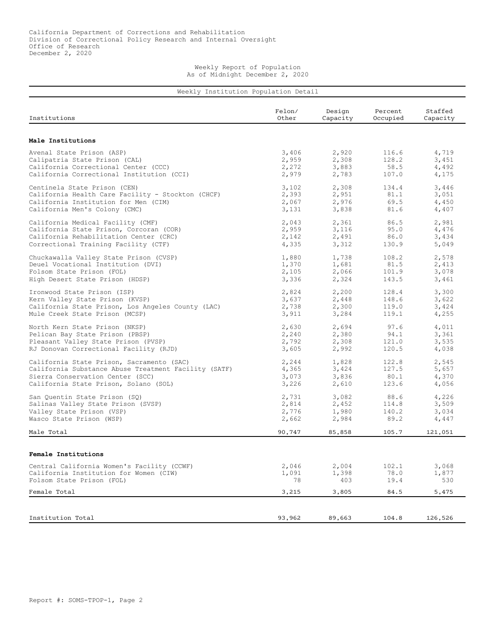Weekly Report of Population As of Midnight December 2, 2020

| Institutions                                                                        | Felon/<br>Other | Design<br>Capacity | Percent<br>Occupied | Staffed<br>Capacity |
|-------------------------------------------------------------------------------------|-----------------|--------------------|---------------------|---------------------|
|                                                                                     |                 |                    |                     |                     |
| Male Institutions                                                                   |                 |                    |                     |                     |
| Avenal State Prison (ASP)                                                           | 3,406           | 2,920              | 116.6               | 4,719               |
| Calipatria State Prison (CAL)                                                       | 2,959           | 2,308              | 128.2               | 3,451               |
| California Correctional Center (CCC)<br>California Correctional Institution (CCI)   | 2,272<br>2,979  | 3,883<br>2,783     | 58.5<br>107.0       | 4,492<br>4,175      |
| Centinela State Prison (CEN)                                                        | 3,102           | 2,308              | 134.4               | 3,446               |
| California Health Care Facility - Stockton (CHCF)                                   | 2,393           | 2,951              | 81.1                | 3,051               |
| California Institution for Men (CIM)                                                | 2,067           | 2,976              | 69.5                | 4,450               |
| California Men's Colony (CMC)                                                       | 3,131           | 3,838              | 81.6                | 4,407               |
| California Medical Facility (CMF)                                                   | 2,043           | 2,361              | 86.5                | 2,981               |
| California State Prison, Corcoran (COR)                                             | 2,959           | 3,116              | 95.0                | 4,476               |
| California Rehabilitation Center (CRC)                                              | 2,142           | 2,491              | 86.0                | 3,434               |
| Correctional Training Facility (CTF)                                                | 4,335           | 3,312              | 130.9               | 5,049               |
| Chuckawalla Valley State Prison (CVSP)                                              | 1,880           | 1,738              | 108.2               | 2,578               |
| Deuel Vocational Institution (DVI)                                                  | 1,370           | 1,681              | 81.5                | 2,413               |
| Folsom State Prison (FOL)                                                           | 2,105           | 2,066              | 101.9               | 3,078               |
| High Desert State Prison (HDSP)                                                     | 3,336           | 2,324              | 143.5               | 3,461               |
| Ironwood State Prison (ISP)                                                         | 2,824           | 2,200              | 128.4               | 3,300               |
| Kern Valley State Prison (KVSP)                                                     | 3,637           | 2,448              | 148.6               | 3,622               |
| California State Prison, Los Angeles County (LAC)<br>Mule Creek State Prison (MCSP) | 2,738           | 2,300              | 119.0               | 3,424               |
|                                                                                     | 3,911           | 3,284              | 119.1               | 4,255               |
| North Kern State Prison (NKSP)                                                      | 2,630           | 2,694              | 97.6                | 4,011               |
| Pelican Bay State Prison (PBSP)                                                     | 2,240           | 2,380              | 94.1                | 3,361               |
| Pleasant Valley State Prison (PVSP)                                                 | 2,792           | 2,308              | 121.0               | 3,535               |
| RJ Donovan Correctional Facility (RJD)                                              | 3,605           | 2,992              | 120.5               | 4,038               |
| California State Prison, Sacramento (SAC)                                           | 2,244           | 1,828              | 122.8               | 2,545               |
| California Substance Abuse Treatment Facility (SATF)                                | 4,365           | 3,424              | 127.5               | 5,657               |
| Sierra Conservation Center (SCC)<br>California State Prison, Solano (SOL)           | 3,073<br>3,226  | 3,836<br>2,610     | 80.1<br>123.6       | 4,370<br>4,056      |
|                                                                                     |                 |                    |                     |                     |
| San Quentin State Prison (SQ)                                                       | 2,731           | 3,082              | 88.6                | 4,226               |
| Salinas Valley State Prison (SVSP)<br>Valley State Prison (VSP)                     | 2,814<br>2,776  | 2,452<br>1,980     | 114.8<br>140.2      | 3,509<br>3,034      |
| Wasco State Prison (WSP)                                                            | 2,662           | 2,984              | 89.2                | 4,447               |
| Male Total                                                                          | 90,747          | 85,858             | 105.7               | 121,051             |
|                                                                                     |                 |                    |                     |                     |
| Female Institutions                                                                 |                 |                    |                     |                     |
| Central California Women's Facility (CCWF)                                          | 2,046           | 2,004              | 102.1               | 3,068               |
| California Institution for Women (CIW)                                              | 1,091           | 1,398              | 78.0                | 1,877               |
| Folsom State Prison (FOL)                                                           | 78              | 403                | 19.4                | 530                 |
| Female Total                                                                        | 3,215           | 3,805              | 84.5                | 5,475               |
|                                                                                     |                 |                    |                     |                     |
|                                                                                     |                 |                    |                     |                     |
| Institution Total                                                                   | 93,962          | 89,663             | 104.8               | 126,526             |